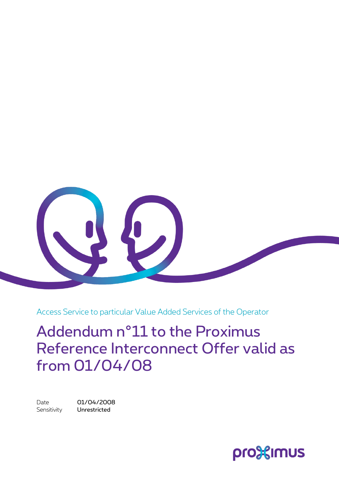

Access Service to particular Value Added Services of the Operator

Addendum n°11 to the Proximus Reference Interconnect Offer valid as from 01/04/08

Date 01/04/2008 Sensitivity **Unrestricted** 

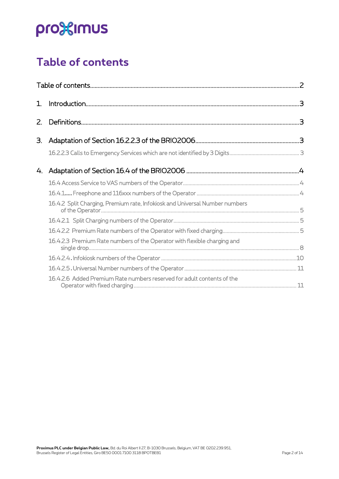### <span id="page-1-0"></span>**Table of contents**

| 1. |                                                                             |  |
|----|-----------------------------------------------------------------------------|--|
|    |                                                                             |  |
| З. |                                                                             |  |
|    |                                                                             |  |
| 4. |                                                                             |  |
|    |                                                                             |  |
|    |                                                                             |  |
|    | 16.4.2 Split Charging, Premium rate, Infokiosk and Universal Number numbers |  |
|    |                                                                             |  |
|    |                                                                             |  |
|    | 16.4.2.3 Premium Rate numbers of the Operator with flexible charging and    |  |
|    |                                                                             |  |
|    |                                                                             |  |
|    | 16.4.2.6 Added Premium Rate numbers reserved for adult contents of the      |  |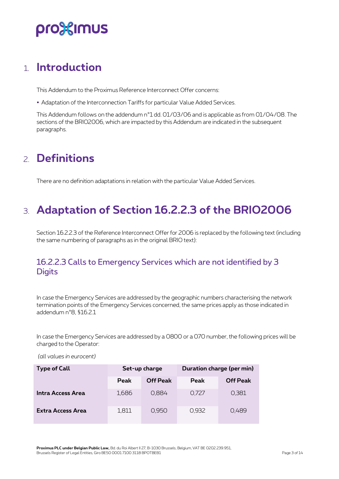### pro%imus

### <span id="page-2-0"></span>1. **Introduction**

This Addendum to the Proximus Reference Interconnect Offer concerns:

• Adaptation of the Interconnection Tariffs for particular Value Added Services.

This Addendum follows on the addendum n°1 dd. 01/03/06 and is applicable as from 01/04/08. The sections of the BRIO2006, which are impacted by this Addendum are indicated in the subsequent paragraphs.

### <span id="page-2-1"></span>2. **Definitions**

<span id="page-2-2"></span>There are no definition adaptations in relation with the particular Value Added Services.

### 3. **Adaptation of Section 16.2.2.3 of the BRIO2006**

Section 16.2.2.3 of the Reference Interconnect Offer for 2006 is replaced by the following text (including the same numbering of paragraphs as in the original BRIO text):

#### <span id="page-2-3"></span>16.2.2.3 Calls to Emergency Services which are not identified by 3 **Digits**

In case the Emergency Services are addressed by the geographic numbers characterising the network termination points of the Emergency Services concerned, the same prices apply as those indicated in addendum n°8, §16.2.1

In case the Emergency Services are addressed by a 0800 or a 070 number, the following prices will be charged to the Operator:

| <b>Type of Call</b>      |       | Set-up charge   | Duration charge (per min) |                 |  |
|--------------------------|-------|-----------------|---------------------------|-----------------|--|
|                          | Peak  | <b>Off Peak</b> | <b>Peak</b>               | <b>Off Peak</b> |  |
| Intra Access Area        | 1,686 | 0.884           | 0.727                     | 0,381           |  |
| <b>Extra Access Area</b> | 1,811 | 0,950           | 0,932                     | 0,489           |  |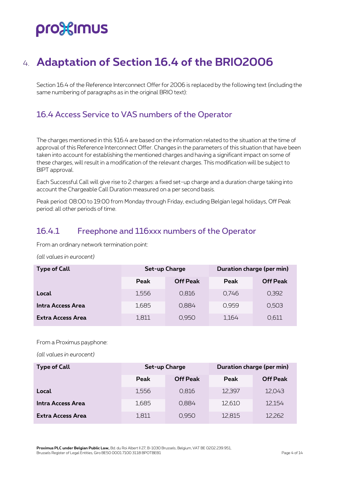### <span id="page-3-0"></span>4. **Adaptation of Section 16.4 of the BRIO2006**

Section 16.4 of the Reference Interconnect Offer for 2006 is replaced by the following text (including the same numbering of paragraphs as in the original BRIO text):

### <span id="page-3-1"></span>16.4 Access Service to VAS numbers of the Operator

The charges mentioned in this §16.4 are based on the information related to the situation at the time of approval of this Reference Interconnect Offer. Changes in the parameters of this situation that have been taken into account for establishing the mentioned charges and having a significant impact on some of these charges, will result in a modification of the relevant charges. This modification will be subject to BIPT approval.

Each Successful Call will give rise to 2 charges: a fixed set-up charge and a duration charge taking into account the Chargeable Call Duration measured on a per second basis.

Peak period: 08:00 to 19:00 from Monday through Friday, excluding Belgian legal holidays, Off Peak period: all other periods of time.

#### <span id="page-3-2"></span>16.4.1 Freephone and 116xxx numbers of the Operator

From an ordinary network termination point:

*(all values in eurocent)*

| <b>Type of Call</b> |       | <b>Set-up Charge</b> | Duration charge (per min) |                 |  |
|---------------------|-------|----------------------|---------------------------|-----------------|--|
|                     | Peak  | <b>Off Peak</b>      | Peak                      | <b>Off Peak</b> |  |
| Local               | 1.556 | 0.816                | 0.746                     | 0,392           |  |
| Intra Access Area   | 1,685 | 0,884                | 0.959                     | 0,503           |  |
| Extra Access Area   | 1,811 | 0.950                | 1,164                     | 0.611           |  |

From a Proximus payphone:

| <b>Type of Call</b> |       | Set-up Charge   | Duration charge (per min) |                 |  |
|---------------------|-------|-----------------|---------------------------|-----------------|--|
|                     | Peak  | <b>Off Peak</b> | Peak                      | <b>Off Peak</b> |  |
| Local               | 1,556 | 0,816           | 12,397                    | 12,043          |  |
| Intra Access Area   | 1,685 | 0,884           | 12,610                    | 12,154          |  |
| Extra Access Area   | 1,811 | 0,950           | 12,815                    | 12,262          |  |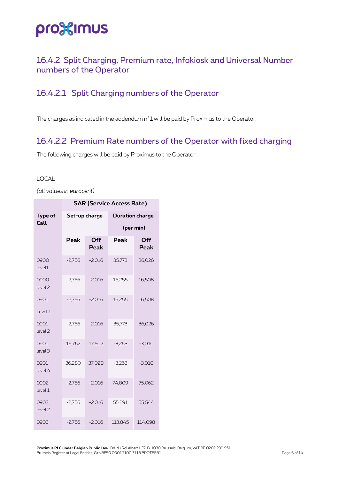#### <span id="page-4-0"></span>16.4.2 Split Charging, Premium rate, Infokiosk and Universal Number numbers of the Operator

#### <span id="page-4-1"></span>16.4.2.1 Split Charging numbers of the Operator

The charges as indicated in the addendum n°1 will be paid by Proximus to the Operator.

#### <span id="page-4-2"></span>16.4.2.2 Premium Rate numbers of the Operator with fixed charging

The following charges will be paid by Proximus to the Operator:

#### LOCAL

*(all values in eurocent)*

|                            | <b>SAR (Service Access Rate)</b> |          |                        |             |  |  |  |
|----------------------------|----------------------------------|----------|------------------------|-------------|--|--|--|
| Type of                    | Set-up charge                    |          | <b>Duration charge</b> |             |  |  |  |
| Call                       | Peak<br>Off<br>Peak              |          | (per min)              |             |  |  |  |
|                            |                                  |          | Peak                   | Off<br>Peak |  |  |  |
| 0900<br>level1             | $-2,756$                         | $-2,016$ | 35,773                 | 36,026      |  |  |  |
| 0900<br>level <sub>2</sub> | $-2,756$                         | $-2,016$ | 16,255                 | 16,508      |  |  |  |
| 0901                       | $-2,756$                         | $-2,016$ | 16,255                 | 16,508      |  |  |  |
| Level 1                    |                                  |          |                        |             |  |  |  |
| 0901<br>level <sub>2</sub> | $-2,756$                         | $-2,016$ | 35,773                 | 36,026      |  |  |  |
| 0901<br>level <sub>3</sub> | 16,762                           | 17,502   | $-3,263$               | $-3,010$    |  |  |  |
| 0901<br>level 4            | 36,280                           | 37,020   | $-3,263$               | $-3,010$    |  |  |  |
| 0902<br>level 1            | $-2,756$                         | $-2,016$ | 74,809                 | 75,062      |  |  |  |
| 0902<br>level <sub>2</sub> | $-2,756$                         | $-2,016$ | 55,291                 | 55,544      |  |  |  |
| 0903                       | $-2,756$                         | $-2,016$ | 113,845                | 114,098     |  |  |  |

**Proximus PLC under Belgian Public Law,** Bd. du Roi Albert II 27, B-1030 Brussels, Belgium, VAT BE 0202.239.951, Brussels Register of Legal Entities, Giro BE50 0001 7100 3118 BPOTBEB1 Page 5 of 14 and 2011 1997 Page 5 of 14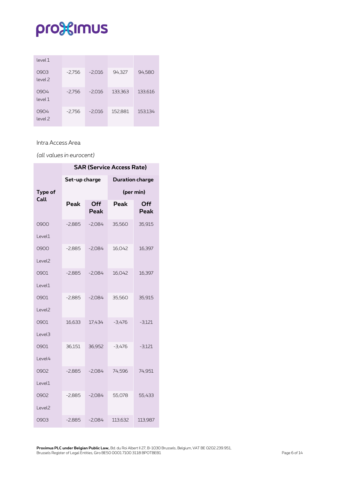| level 1                    |          |          |         |         |
|----------------------------|----------|----------|---------|---------|
| 0903<br>level <sub>2</sub> | $-2,756$ | $-2,016$ | 94,327  | 94,580  |
| 0904<br>level 1            | $-2,756$ | $-2,016$ | 133,363 | 133,616 |
| 0904<br>level 2            | $-2,756$ | $-2,016$ | 152,881 | 153,134 |

#### Intra Access Area

|                    | <b>SAR (Service Access Rate)</b> |             |                        |             |  |  |
|--------------------|----------------------------------|-------------|------------------------|-------------|--|--|
|                    | Set-up charge                    |             | <b>Duration charge</b> |             |  |  |
| Type of            |                                  |             |                        | (per min)   |  |  |
| Call               | Peak                             | Off<br>Peak | Peak                   | Off<br>Peak |  |  |
| 0900               | $-2,885$                         | $-2,084$    | 35,560                 | 35,915      |  |  |
| Level1             |                                  |             |                        |             |  |  |
| 0900               | $-2,885$                         | $-2,084$    | 16,042                 | 16,397      |  |  |
| Level <sub>2</sub> |                                  |             |                        |             |  |  |
| 0901               | $-2,885$                         | $-2,084$    | 16,042                 | 16,397      |  |  |
| Level1             |                                  |             |                        |             |  |  |
| 0901               | $-2,885$                         | $-2,084$    | 35,560                 | 35,915      |  |  |
| Level <sub>2</sub> |                                  |             |                        |             |  |  |
| 0901               | 16,633                           | 17,434      | $-3,476$               | $-3,121$    |  |  |
| Level3             |                                  |             |                        |             |  |  |
| 0901               | 36,151                           | 36,952      | $-3,476$               | $-3,121$    |  |  |
| Level4             |                                  |             |                        |             |  |  |
| 0902               | $-2,885$                         | $-2,084$    | 74,596                 | 74,951      |  |  |
| Level1             |                                  |             |                        |             |  |  |
| 0902               | $-2,885$                         | $-2,084$    | 55,078                 | 55,433      |  |  |
| Level <sub>2</sub> |                                  |             |                        |             |  |  |
| 0903               | $-2,885$                         | $-2,084$    | 113,632                | 113,987     |  |  |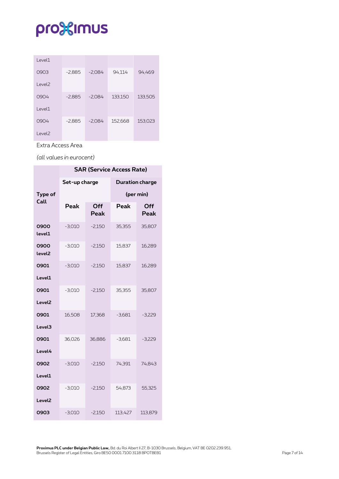| Level1             |          |          |         |         |
|--------------------|----------|----------|---------|---------|
| 0903               | $-2,885$ | $-2,084$ | 94,114  | 94,469  |
| Level <sub>2</sub> |          |          |         |         |
| 0904               | $-2,885$ | $-2,084$ | 133,150 | 133,505 |
| $ $ evel1          |          |          |         |         |
| 0904               | $-2,885$ | $-2.084$ | 152,668 | 153,023 |
| Level <sub>2</sub> |          |          |         |         |

Extra Access Area

*(all values in eurocent)*

|                            | <b>SAR (Service Access Rate)</b> |             |                        |             |  |  |  |
|----------------------------|----------------------------------|-------------|------------------------|-------------|--|--|--|
|                            | Set-up charge                    |             | <b>Duration charge</b> |             |  |  |  |
| Type of                    |                                  |             |                        | (per min)   |  |  |  |
| Call                       | Peak                             | Off<br>Peak | Peak                   | Off<br>Peak |  |  |  |
| 0900<br>level1             | $-3,010$                         | $-2,150$    | 35,355                 | 35,807      |  |  |  |
| 0900<br>level <sub>2</sub> | $-3,010$                         | $-2,150$    | 15,837                 | 16,289      |  |  |  |
| 0901                       | $-3,010$                         | $-2,150$    | 15,837                 | 16,289      |  |  |  |
| Level1                     |                                  |             |                        |             |  |  |  |
| 0901                       | $-3,010$                         | $-2,150$    | 35,355                 | 35,807      |  |  |  |
| Level <sub>2</sub>         |                                  |             |                        |             |  |  |  |
| 0901                       | 16,508                           | 17,368      | $-3,681$               | $-3,229$    |  |  |  |
| Level3                     |                                  |             |                        |             |  |  |  |
| 0901                       | 36,026                           | 36,886      | $-3,681$               | $-3,229$    |  |  |  |
| Level4                     |                                  |             |                        |             |  |  |  |
| 0902                       | $-3,010$                         | $-2,150$    | 74,391                 | 74,843      |  |  |  |
| Level1                     |                                  |             |                        |             |  |  |  |
| 0902                       | $-3,010$                         | $-2,150$    | 54,873                 | 55,325      |  |  |  |
| Level <sub>2</sub>         |                                  |             |                        |             |  |  |  |
| 0903                       | $-3,010$                         | $-2,150$    | 113,427                | 113,879     |  |  |  |

**Proximus PLC under Belgian Public Law,** Bd. du Roi Albert II 27, B-1030 Brussels, Belgium, VAT BE 0202.239.951, Brussels Register of Legal Entities, Giro BE50 0001 7100 3118 BPOTBEB1 Page 7 of 14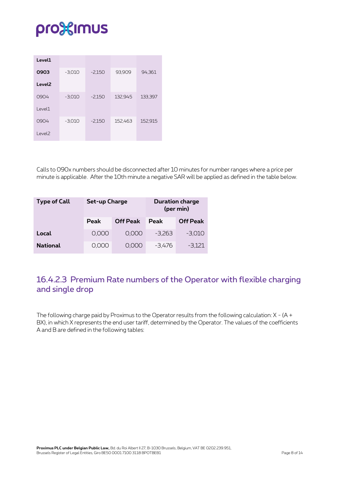| Level1             |          |          |         |         |
|--------------------|----------|----------|---------|---------|
| 0903               | $-3,010$ | $-2,150$ | 93,909  | 94,361  |
| Level <sub>2</sub> |          |          |         |         |
| 0904               | $-3,010$ | $-2,150$ | 132,945 | 133,397 |
| Level1             |          |          |         |         |
| 0904               | $-3,010$ | $-2.150$ | 152,463 | 152,915 |
| Level <sub>2</sub> |          |          |         |         |

Calls to 090x numbers should be disconnected after 10 minutes for number ranges where a price per minute is applicable. After the 10th minute a negative SAR will be applied as defined in the table below.

| <b>Type of Call</b> | <b>Set-up Charge</b> |                 |             | <b>Duration charge</b><br>(per min) |
|---------------------|----------------------|-----------------|-------------|-------------------------------------|
|                     | <b>Peak</b>          | <b>Off Peak</b> | <b>Peak</b> | <b>Off Peak</b>                     |
| Local               | 0,000                | 0,000           | $-3.263$    | $-3,010$                            |
| <b>National</b>     | 0.000                | 0.000           | $-3,476$    | $-3,121$                            |

#### <span id="page-7-0"></span>16.4.2.3 Premium Rate numbers of the Operator with flexible charging and single drop

The following charge paid by Proximus to the Operator results from the following calculation: X - (A + BX), in which X represents the end user tariff, determined by the Operator. The values of the coefficients A and B are defined in the following tables: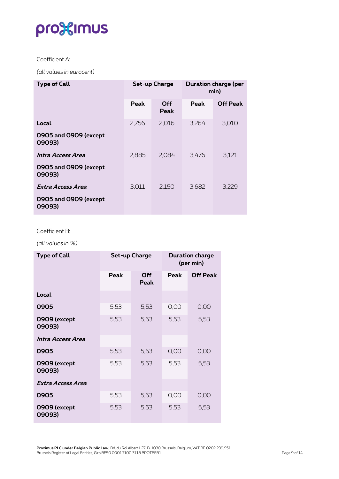#### Coefficient A:

*(all values in eurocent)*

| <b>Type of Call</b>             |       | Set-up Charge      | <b>Duration charge (per</b><br>min) |                 |
|---------------------------------|-------|--------------------|-------------------------------------|-----------------|
|                                 | Peak  | <b>Off</b><br>Peak | Peak                                | <b>Off Peak</b> |
| Local                           | 2,756 | 2,016              | 3,264                               | 3,010           |
| 0905 and 0909 (except<br>09093) |       |                    |                                     |                 |
| Intra Access Area               | 2,885 | 2,084              | 3,476                               | 3,121           |
| 0905 and 0909 (except<br>09093) |       |                    |                                     |                 |
| Extra Access Area               | 3,011 | 2,150              | 3,682                               | 3,229           |
| 0905 and 0909 (except<br>09093) |       |                    |                                     |                 |

#### Coefficient B:

*(all values in %)*

| <b>Type of Call</b>    |      | Set-up Charge      | <b>Duration charge</b><br>(per min) |                 |
|------------------------|------|--------------------|-------------------------------------|-----------------|
|                        | Peak | <b>Off</b><br>Peak | Peak                                | <b>Off Peak</b> |
| Local                  |      |                    |                                     |                 |
| 0905                   | 5,53 | 5,53               | 0,00                                | 0,00            |
| 0909 (except<br>09093) | 5,53 | 5,53               | 5,53                                | 5,53            |
| Intra Access Area      |      |                    |                                     |                 |
| 0905                   | 5,53 | 5,53               | 0,00                                | 0,00            |
| 0909 (except<br>09093) | 5,53 | 5,53               | 5,53                                | 5,53            |
| Extra Access Area      |      |                    |                                     |                 |
| 0905                   | 5,53 | 5,53               | 0,00                                | 0,00            |
| 0909 (except<br>09093) | 5,53 | 5,53               | 5,53                                | 5,53            |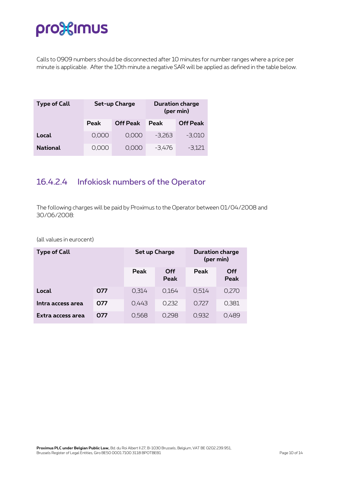Calls to 0909 numbers should be disconnected after 10 minutes for number ranges where a price per minute is applicable. After the 10th minute a negative SAR will be applied as defined in the table below.

| <b>Type of Call</b> | Set-up Charge |                 |             | <b>Duration charge</b><br>(per min) |
|---------------------|---------------|-----------------|-------------|-------------------------------------|
|                     | Peak          | <b>Off Peak</b> | <b>Peak</b> | <b>Off Peak</b>                     |
| Local               | 0,000         | 0.000           | $-3.263$    | $-3,010$                            |
| <b>National</b>     | 0.000         | 0.000           | $-3,476$    | $-3,121$                            |

### <span id="page-9-0"></span>16.4.2.4 Infokiosk numbers of the Operator

The following charges will be paid by Proximus to the Operator between 01/04/2008 and 30/06/2008:

| <b>Type of Call</b> |     | <b>Set up Charge</b> |                    | <b>Duration charge</b><br>(per min) |             |
|---------------------|-----|----------------------|--------------------|-------------------------------------|-------------|
|                     |     | Peak                 | Off<br><b>Peak</b> | <b>Peak</b>                         | Off<br>Peak |
| Local               | 077 | 0.314                | 0.164              | 0.514                               | 0,270       |
| Intra access area   | 077 | 0.443                | 0.232              | 0.727                               | 0,381       |
| Extra access area   | 077 | 0,568                | 0.298              | 0,932                               | 0.489       |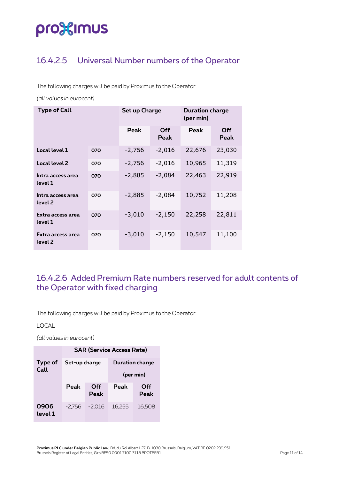### <span id="page-10-0"></span>16.4.2.5 Universal Number numbers of the Operator

The following charges will be paid by Proximus to the Operator:

*(all values in eurocent)*

| <b>Type of Call</b>          |     | Set up Charge |             | <b>Duration charge</b><br>(per min) |             |
|------------------------------|-----|---------------|-------------|-------------------------------------|-------------|
|                              |     | Peak          | Off<br>Peak | Peak                                | Off<br>Peak |
| Local level 1                | 070 | $-2,756$      | $-2,016$    | 22,676                              | 23,030      |
| Local level 2                | 070 | $-2,756$      | $-2,016$    | 10,965                              | 11,319      |
| Intra access area<br>level 1 | 070 | $-2,885$      | $-2,084$    | 22,463                              | 22,919      |
| Intra access area<br>level 2 | 070 | $-2,885$      | $-2,084$    | 10,752                              | 11,208      |
| Extra access area<br>level 1 | 070 | $-3,010$      | $-2,150$    | 22,258                              | 22,811      |
| Extra access area<br>level 2 | 070 | $-3,010$      | $-2,150$    | 10,547                              | 11,100      |

### <span id="page-10-1"></span>16.4.2.6 Added Premium Rate numbers reserved for adult contents of the Operator with fixed charging

The following charges will be paid by Proximus to the Operator:

LOCAL

|                 | <b>SAR (Service Access Rate)</b> |          |                        |        |  |  |
|-----------------|----------------------------------|----------|------------------------|--------|--|--|
| Type of<br>Call | Set-up charge                    |          | <b>Duration charge</b> |        |  |  |
|                 |                                  |          | (per min)              |        |  |  |
|                 | Peak<br>Off                      |          | Peak                   | Off    |  |  |
|                 |                                  | Peak     |                        | Peak   |  |  |
| 0906<br>level 1 | -2.756                           | $-2.016$ | 16.255                 | 16,508 |  |  |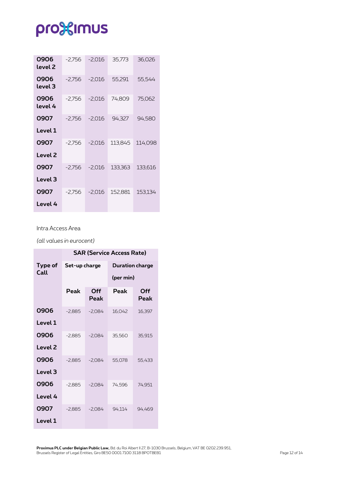| 0906<br>level 2 | $-2,756$ | $-2,016$ | 35,773  | 36,026  |
|-----------------|----------|----------|---------|---------|
| 0906<br>level 3 | $-2,756$ | $-2,016$ | 55,291  | 55,544  |
| 0906<br>level 4 | $-2.756$ | $-2.016$ | 74,809  | 75.062  |
| 0907            | $-2.756$ | $-2,016$ | 94.327  | 94,580  |
| Level 1         |          |          |         |         |
| 0907            | $-2.756$ | $-2.016$ | 113.845 | 114.098 |
| Level 2         |          |          |         |         |
| 0907            | $-2.756$ | $-2,016$ | 133,363 | 133,616 |
| Level 3         |          |          |         |         |
| 0907            | $-2.756$ | $-2,016$ | 152,881 | 153,134 |
| Level 4         |          |          |         |         |

#### Intra Access Area

|                    |               |             | <b>SAR (Service Access Rate)</b> |             |  |
|--------------------|---------------|-------------|----------------------------------|-------------|--|
| Type of            | Set-up charge |             | <b>Duration charge</b>           |             |  |
| Call               |               |             | (per min)                        |             |  |
|                    | Peak          | Off<br>Peak | Peak                             | Off<br>Peak |  |
| 0906               | $-2,885$      | $-2,084$    | 16,042                           | 16,397      |  |
| Level 1            |               |             |                                  |             |  |
| 0906               | $-2.885$      | $-2.084$    | 35,560                           | 35,915      |  |
| Level <sub>2</sub> |               |             |                                  |             |  |
| 0906               | $-2.885$      | $-2.084$    | 55,078                           | 55,433      |  |
| Level 3            |               |             |                                  |             |  |
| 0906               | $-2,885$      | $-2,084$    | 74,596                           | 74,951      |  |
| Level 4            |               |             |                                  |             |  |
| 0907               | $-2,885$      | $-2,084$    | 94,114                           | 94,469      |  |
| Level 1            |               |             |                                  |             |  |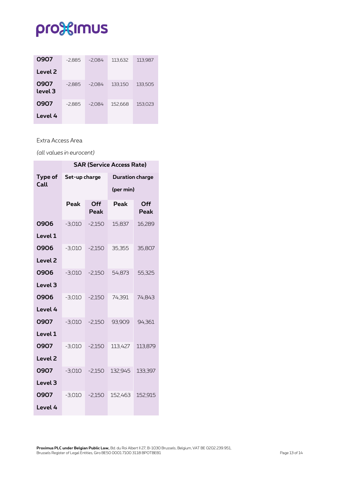| 0907            | $-2,885$ | $-2,084$ | 113.632 | 113,987 |
|-----------------|----------|----------|---------|---------|
| Level 2         |          |          |         |         |
| 0907<br>level 3 | $-2.885$ | $-2.084$ | 133.150 | 133,505 |
| 0907            | $-2.885$ | $-2.084$ | 152.668 | 153,023 |
| Level 4         |          |          |         |         |

#### Extra Access Area

|                    | <b>SAR (Service Access Rate)</b> |             |                        |             |  |  |
|--------------------|----------------------------------|-------------|------------------------|-------------|--|--|
| Type of<br>Call    | Set-up charge                    |             | <b>Duration charge</b> |             |  |  |
|                    |                                  |             | (per min)              |             |  |  |
|                    | Peak                             | Off<br>Peak | Peak                   | Off<br>Peak |  |  |
| 0906               | $-3,010$                         | $-2,150$    | 15,837                 | 16,289      |  |  |
| Level 1            |                                  |             |                        |             |  |  |
| 0906               | $-3,010$                         | $-2,150$    | 35,355                 | 35,807      |  |  |
| Level <sub>2</sub> |                                  |             |                        |             |  |  |
| 0906               | $-3,010$                         | $-2,150$    | 54,873                 | 55,325      |  |  |
| Level <sub>3</sub> |                                  |             |                        |             |  |  |
| 0906               | $-3,010$                         | $-2,150$    | 74,391                 | 74,843      |  |  |
| Level 4            |                                  |             |                        |             |  |  |
| 0907               | $-3,010$                         | $-2,150$    | 93,909                 | 94,361      |  |  |
| Level 1            |                                  |             |                        |             |  |  |
| 0907               | $-3,010$                         | $-2,150$    | 113,427                | 113,879     |  |  |
| Level <sub>2</sub> |                                  |             |                        |             |  |  |
| 0907               | $-3,010$                         | $-2,150$    | 132,945                | 133,397     |  |  |
| Level 3            |                                  |             |                        |             |  |  |
| 0907               | $-3,010$                         | $-2,150$    | 152,463                | 152,915     |  |  |
| Level 4            |                                  |             |                        |             |  |  |